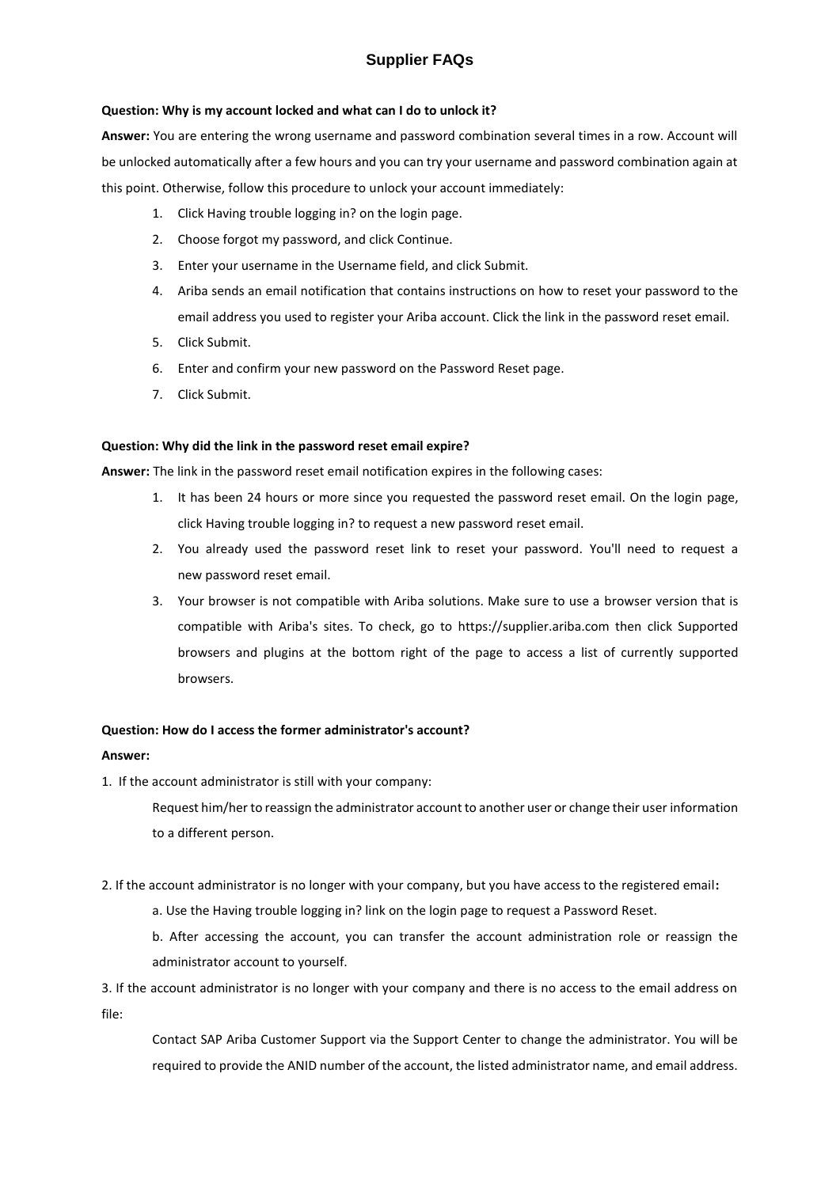# **Supplier FAQs**

#### **Question: Why is my account locked and what can I do to unlock it?**

**Answer:** You are entering the wrong username and password combination several times in a row. Account will be unlocked automatically after a few hours and you can try your username and password combination again at this point. Otherwise, follow this procedure to unlock your account immediately:

- 1. Click Having trouble logging in? on the login page.
- 2. Choose forgot my password, and click Continue.
- 3. Enter your username in the Username field, and click Submit.
- 4. Ariba sends an email notification that contains instructions on how to reset your password to the email address you used to register your Ariba account. Click the link in the password reset email.
- 5. Click Submit.
- 6. Enter and confirm your new password on the Password Reset page.
- 7. Click Submit.

#### **Question: Why did the link in the password reset email expire?**

**Answer:** The link in the password reset email notification expires in the following cases:

- 1. It has been 24 hours or more since you requested the password reset email. On the login page, click Having trouble logging in? to request a new password reset email.
- 2. You already used the password reset link to reset your password. You'll need to request a new password reset email.
- 3. Your browser is not compatible with Ariba solutions. Make sure to use a [browser version that is](https://uex.ariba.com/node/1004)  [compatible](https://uex.ariba.com/node/1004) with Ariba's sites. To check, go to [https://supplier.ariba.com](https://supplier.ariba.com/) then click Supported browsers and plugins at the bottom right of the page to access a list of currently supported browsers.

#### **Question: How do I access the former administrator's account?**

#### **Answer:**

1. If the account administrator is still with your company:

Request him/her to reassign the administrator account to another user or change their user information to a different person.

- 2. If the account administrator is no longer with your company, but you have access to the registered email**:**
	- a. Use the Having trouble logging in? link on the login page to request a Password Reset.
	- b. After accessing the account, you can transfer the account administration role or reassign the administrator account to yourself.

3. If the account administrator is no longer with your company and there is no access to the email address on file:

Contact SAP Ariba Customer Support via the Support Center to change the administrator. You will be required to provide the ANID number of the account, the listed administrator name, and email address.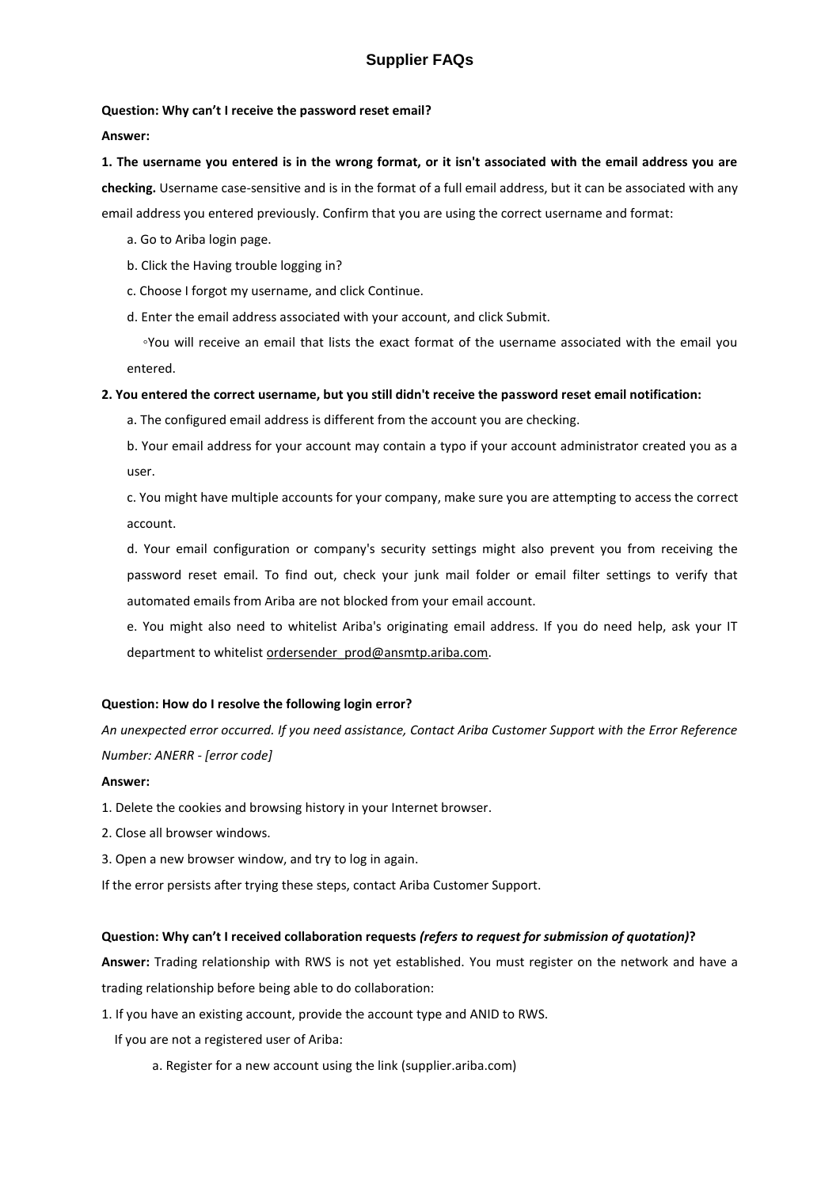# **Supplier FAQs**

#### **Question: Why can't I receive the password reset email?**

#### **Answer:**

# **1. The username you entered is in the wrong format, or it isn't associated with the email address you are checking.** Username case-sensitive and is in the format of a full email address, but it can be associated with any email address you entered previously. Confirm that you are using the correct username and format:

- a. Go to Ariba login page.
- b. Click the Having trouble logging in?
- c. Choose I forgot my username, and click Continue.
- d. Enter the email address associated with your account, and click Submit.

 ◦You will receive an email that lists the exact format of the username associated with the email you entered.

#### **2. You entered the correct username, but you still didn't receive the password reset email notification:**

a. The configured email address is different from the account you are checking.

b. Your email address for your account may contain a typo if your account administrator created you as a user.

c. You might have multiple accounts for your company, make sure you are attempting to access the correct account.

d. Your email configuration or company's security settings might also prevent you from receiving the password reset email. To find out, check your junk mail folder or email filter settings to verify that automated emails from Ariba are not blocked from your email account.

e. You might also need to whitelist Ariba's originating email address. If you do need help, ask your IT department to whitelist [ordersender\\_prod@ansmtp.ariba.com.](mailto:ordersender_prod@ansmtp.ariba.com)

#### **Question: How do I resolve the following login error?**

*An unexpected error occurred. If you need assistance, Contact Ariba Customer Support with the Error Reference Number: ANERR - [error code]*

#### **Answer:**

1. Delete the cookies and browsing history in your Internet browser.

- 2. Close all browser windows.
- 3. Open a new browser window, and try to log in again.

If the error persists after trying these steps, contact Ariba Customer Support.

#### **Question: Why can't I received collaboration requests** *(refers to request for submission of quotation)***?**

**Answer:** Trading relationship with RWS is not yet established. You must register on the network and have a trading relationship before being able to do collaboration:

1. If you have an existing account, provide the account type and ANID to RWS.

If you are not a registered user of Ariba:

a. Register for a new account using the link (supplier.ariba.com)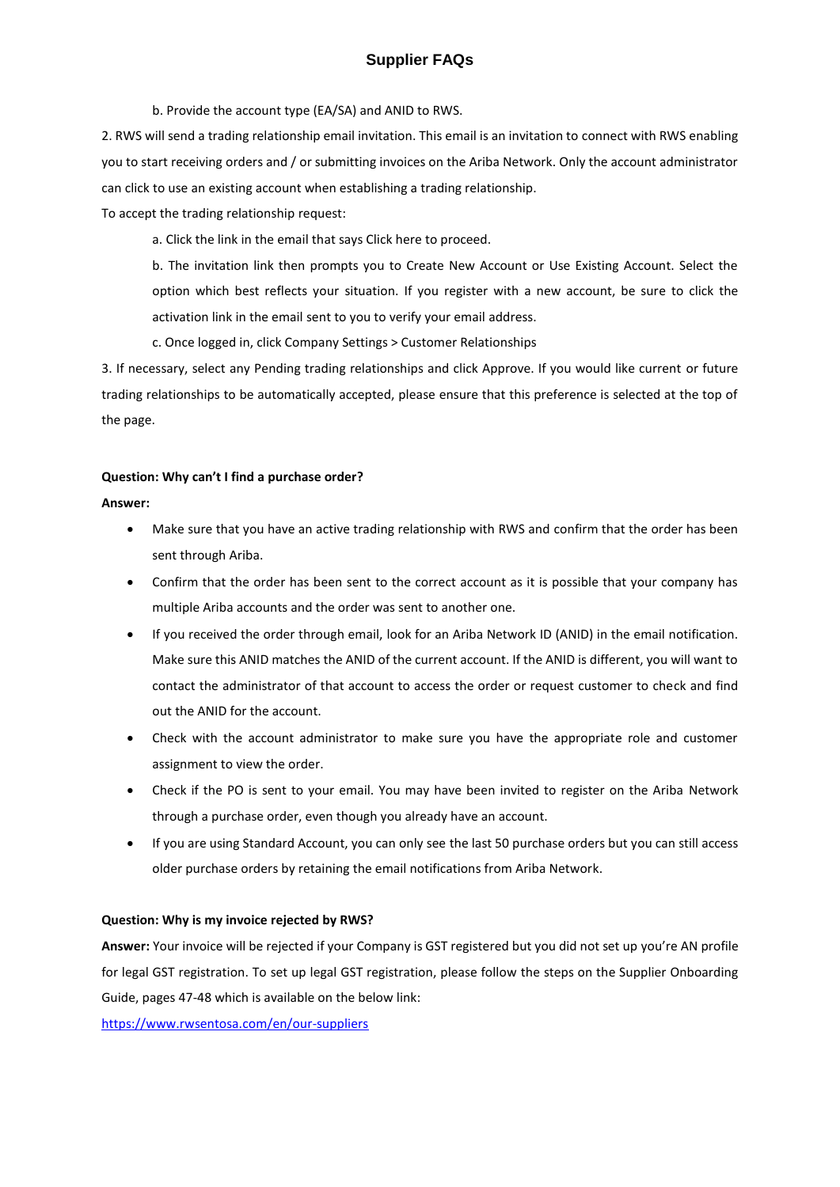b. Provide the account type (EA/SA) and ANID to RWS.

2. RWS will send a trading relationship email invitation. This email is an invitation to connect with RWS enabling you to start receiving orders and / or submitting invoices on the Ariba Network. Only the account administrator can click to use an existing account when establishing a trading relationship.

To accept the trading relationship request:

a. Click the link in the email that says Click here to proceed.

b. The invitation link then prompts you to Create New Account or Use Existing Account. Select the option which best reflects your situation. If you register with a new account, be sure to click the activation link in the email sent to you to verify your email address.

c. Once logged in, click Company Settings > Customer Relationships

3. If necessary, select any Pending trading relationships and click Approve. If you would like current or future trading relationships to be automatically accepted, please ensure that this preference is selected at the top of the page.

#### **Question: Why can't I find a purchase order?**

#### **Answer:**

- Make sure that you have an active trading relationship with RWS and confirm that the order has been sent through Ariba.
- Confirm that the order has been sent to the correct account as it is possible that your company has multiple Ariba accounts and the order was sent to another one.
- If you received the order through email, look for an Ariba Network ID (ANID) in the email notification. Make sure this ANID matches the ANID of the current account. If the ANID is different, you will want to contact the administrator of that account to access the order or request customer to check and find out the ANID for the account.
- Check with the account administrator to make sure you have the appropriate role and customer assignment to view the order.
- Check if the PO is sent to your email. You may have been invited to register on the Ariba Network through a purchase order, even though you already have an account.
- If you are using Standard Account, you can only see the last 50 purchase orders but you can still access older purchase orders by retaining the email notifications from Ariba Network.

#### **Question: Why is my invoice rejected by RWS?**

**Answer:** Your invoice will be rejected if your Company is GST registered but you did not set up you're AN profile for legal GST registration. To set up legal GST registration, please follow the steps on the Supplier Onboarding Guide, pages 47-48 which is available on the below link:

<https://www.rwsentosa.com/en/our-suppliers>